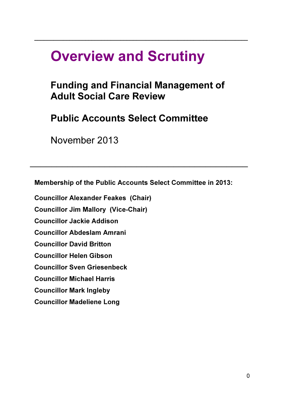## Overview and Scrutiny

## Funding and Financial Management of Adult Social Care Review

 $\_$  , and the set of the set of the set of the set of the set of the set of the set of the set of the set of the set of the set of the set of the set of the set of the set of the set of the set of the set of the set of th

Public Accounts Select Committee

November 2013

Membership of the Public Accounts Select Committee in 2013:

 $\mathcal{L}_\mathcal{L} = \mathcal{L}_\mathcal{L} = \mathcal{L}_\mathcal{L} = \mathcal{L}_\mathcal{L} = \mathcal{L}_\mathcal{L} = \mathcal{L}_\mathcal{L} = \mathcal{L}_\mathcal{L} = \mathcal{L}_\mathcal{L} = \mathcal{L}_\mathcal{L} = \mathcal{L}_\mathcal{L} = \mathcal{L}_\mathcal{L} = \mathcal{L}_\mathcal{L} = \mathcal{L}_\mathcal{L} = \mathcal{L}_\mathcal{L} = \mathcal{L}_\mathcal{L} = \mathcal{L}_\mathcal{L} = \mathcal{L}_\mathcal{L}$ 

Councillor Alexander Feakes (Chair)

Councillor Jim Mallory (Vice-Chair)

Councillor Jackie Addison

Councillor Abdeslam Amrani

Councillor David Britton

Councillor Helen Gibson

Councillor Sven Griesenbeck

Councillor Michael Harris

Councillor Mark Ingleby

Councillor Madeliene Long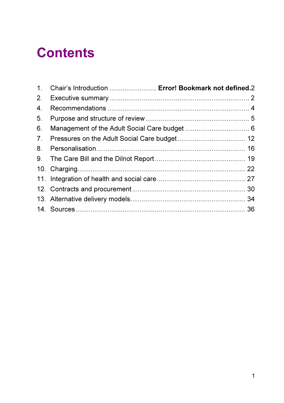# **Contents**

| Chair's Introduction  Error! Bookmark not defined.2 |
|-----------------------------------------------------|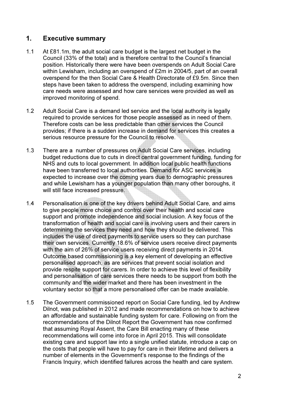## 1. Executive summary

- 1.1 At £81.1m, the adult social care budget is the largest net budget in the Council (33% of the total) and is therefore central to the Council's financial position. Historically there were have been overspends on Adult Social Care within Lewisham, including an overspend of £2m in 2004/5, part of an overall overspend for the then Social Care & Health Directorate of £9.5m. Since then steps have been taken to address the overspend, including examining how care needs were assessed and how care services were provided as well as improved monitoring of spend.
- 1.2 Adult Social Care is a demand led service and the local authority is legally required to provide services for those people assessed as in need of them. Therefore costs can be less predictable than other services the Council provides; if there is a sudden increase in demand for services this creates a serious resource pressure for the Council to resolve.
- 1.3 There are a number of pressures on Adult Social Care services, including budget reductions due to cuts in direct central government funding, funding for NHS and cuts to local government. In addition local public health functions have been transferred to local authorities. Demand for ASC services is expected to increase over the coming years due to demographic pressures and while Lewisham has a younger population than many other boroughs, it will still face increased pressure.
- 1.4 Personalisation is one of the key drivers behind Adult Social Care, and aims to give people more choice and control over their health and social care support and promote independence and social inclusion. A key focus of the transformation of health and social care is involving users and their carers in determining the services they need and how they should be delivered. This includes the use of direct payments to service users so they can purchase their own services. Currently 18.6% of service users receive direct payments with the aim of 26% of service users receiving direct payments in 2014. Outcome based commissioning is a key element of developing an effective personalised approach, as are services that prevent social isolation and provide respite support for carers. In order to achieve this level of flexibility and personalisation of care services there needs to be support from both the community and the wider market and there has been investment in the voluntary sector so that a more personalised offer can be made available.
- 1.5 The Government commissioned report on Social Care funding, led by Andrew Dilnot, was published in 2012 and made recommendations on how to achieve an affordable and sustainable funding system for care. Following on from the recommendations of the Dilnot Report the Government has now confirmed that assuming Royal Assent, the Care Bill enacting many of these recommendations will come into force in April 2015. This will consolidate existing care and support law into a single unified statute, introduce a cap on the costs that people will have to pay for care in their lifetime and delivers a number of elements in the Government's response to the findings of the Francis Inquiry, which identified failures across the health and care system.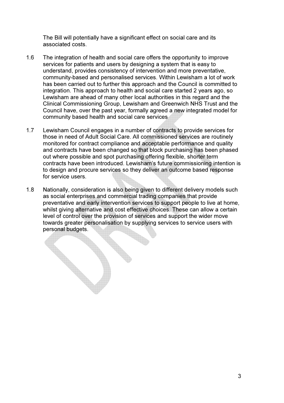The Bill will potentially have a significant effect on social care and its associated costs.

- 1.6 The integration of health and social care offers the opportunity to improve services for patients and users by designing a system that is easy to understand, provides consistency of intervention and more preventative, community-based and personalised services. Within Lewisham a lot of work has been carried out to further this approach and the Council is committed to integration. This approach to health and social care started 2 years ago, so Lewisham are ahead of many other local authorities in this regard and the Clinical Commissioning Group, Lewisham and Greenwich NHS Trust and the Council have, over the past year, formally agreed a new integrated model for community based health and social care services
- 1.7 Lewisham Council engages in a number of contracts to provide services for those in need of Adult Social Care. All commissioned services are routinely monitored for contract compliance and acceptable performance and quality and contracts have been changed so that block purchasing has been phased out where possible and spot purchasing offering flexible, shorter term contracts have been introduced. Lewisham's future commissioning intention is to design and procure services so they deliver an outcome based response for service users.
- 1.8 Nationally, consideration is also being given to different delivery models such as social enterprises and commercial trading companies that provide preventative and early intervention services to support people to live at home, whilst giving alternative and cost effective choices. These can allow a certain level of control over the provision of services and support the wider move towards greater personalisation by supplying services to service users with personal budgets.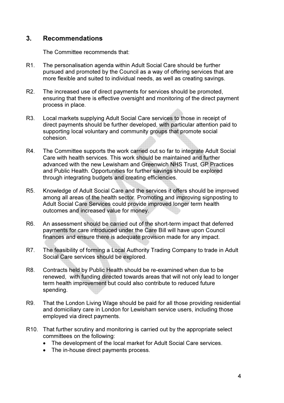## 3. Recommendations

The Committee recommends that:

- R1. The personalisation agenda within Adult Social Care should be further pursued and promoted by the Council as a way of offering services that are more flexible and suited to individual needs, as well as creating savings.
- R2. The increased use of direct payments for services should be promoted, ensuring that there is effective oversight and monitoring of the direct payment process in place.
- R3. Local markets supplying Adult Social Care services to those in receipt of direct payments should be further developed, with particular attention paid to supporting local voluntary and community groups that promote social cohesion.
- R4. The Committee supports the work carried out so far to integrate Adult Social Care with health services. This work should be maintained and further advanced with the new Lewisham and Greenwich NHS Trust, GP Practices and Public Health. Opportunities for further savings should be explored through integrating budgets and creating efficiencies.
- R5. Knowledge of Adult Social Care and the services it offers should be improved among all areas of the health sector. Promoting and improving signposting to Adult Social Care Services could provide improved longer term health outcomes and increased value for money.
- R6. An assessment should be carried out of the short-term impact that deferred payments for care introduced under the Care Bill will have upon Council finances and ensure there is adequate provision made for any impact.
- R7. The feasibility of forming a Local Authority Trading Company to trade in Adult Social Care services should be explored.
- R8. Contracts held by Public Health should be re-examined when due to be renewed, with funding directed towards areas that will not only lead to longer term health improvement but could also contribute to reduced future spending.
- R9. That the London Living Wage should be paid for all those providing residential and domiciliary care in London for Lewisham service users, including those employed via direct payments.
- R10. That further scrutiny and monitoring is carried out by the appropriate select committees on the following:
	- The development of the local market for Adult Social Care services.
	- The in-house direct payments process.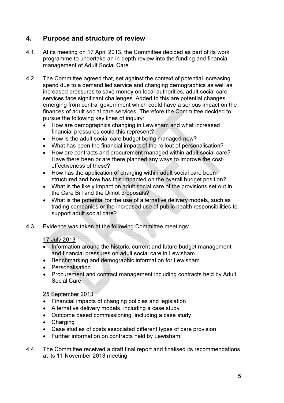## 4. Purpose and structure of review

- 4.1. At its meeting on 17 April 2013, the Committee decided as part of its work programme to undertake an in-depth review into the funding and financial management of Adult Social Care.
- 4.2. The Committee agreed that, set against the context of potential increasing spend due to a demand led service and changing demographics as well as increased pressures to save money on local authorities, adult social care services face significant challenges. Added to this are potential changes emerging from central government which could have a serious impact on the finances of adult social care services. Therefore the Committee decided to pursue the following key lines of inquiry:
	- How are demographics changing in Lewisham and what increased financial pressures could this represent?
	- How is the adult social care budget being managed now?
	- What has been the financial impact of the rollout of personalisation?
	- How are contracts and procurement managed within adult social care? Have there been or are there planned any ways to improve the costeffectiveness of these?
	- How has the application of charging within adult social care been structured and how has this impacted on the overall budget position?
	- What is the likely impact on adult social care of the provisions set out in the Care Bill and the Dilnot proposals?
	- What is the potential for the use of alternative delivery models, such as trading companies or the increased use of public health responsibilities to support adult social care?
- 4.3. Evidence was taken at the following Committee meetings:

## 17 July 2013

- Information around the historic, current and future budget management and financial pressures on adult social care in Lewisham
- Benchmarking and demographic information for Lewisham
- Personalisation
- Procurement and contract management including contracts held by Adult Social Care

## 25 September 2013

- Financial impacts of changing policies and legislation
- Alternative delivery models, including a case study
- Outcome based commissioning, including a case study
- Charging
- Case studies of costs associated different types of care provision
- Further information on contracts held by Lewisham.
- 4.4. The Committee received a draft final report and finalised its recommendations at its 11 November 2013 meeting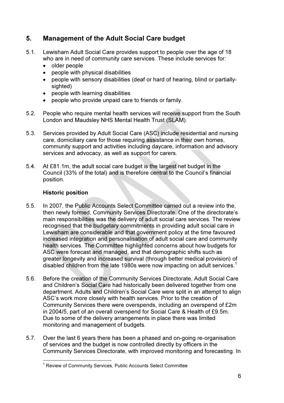## 5. Management of the Adult Social Care budget

- 5.1. Lewisham Adult Social Care provides support to people over the age of 18 who are in need of community care services. These include services for:
	- older people
	- people with physical disabilities
	- people with sensory disabilities (deaf or hard of hearing, blind or partiallysighted)
	- people with learning disabilities
	- people who provide unpaid care to friends or family.
- 5.2. People who require mental health services will receive support from the South London and Maudsley NHS Mental Health Trust (SLAM).
- 5.3. Services provided by Adult Social Care (ASC) include residential and nursing care, domiciliary care for those requiring assistance in their own homes, community support and activities including daycare, information and advisory services and advocacy, as well as support for carers.
- 5.4. At £81.1m, the adult social care budget is the largest net budget in the Council (33% of the total) and is therefore central to the Council's financial position.

## Historic position

- 5.5. In 2007, the Public Accounts Select Committee carried out a review into the, then newly formed, Community Services Directorate. One of the directorate's main responsibilities was the delivery of adult social care services. The review recognised that the budgetary commitments in providing adult social care in Lewisham are considerable and that government policy at the time favoured increased integration and personalisation of adult social care and community health services. The Committee highlighted concerns about how budgets for ASC were forecast and managed, and that demographic shifts such as greater longevity and increased survival (through better medical provision) of disabled children from the late 1980s were now impacting on adult services. $^{\rm 1}$
- 5.6. Before the creation of the Community Services Directorate, Adult Social Care and Children's Social Care had historically been delivered together from one department. Adults and Children's Social Care were split in an attempt to align ASC's work more closely with health services. Prior to the creation of Community Services there were overspends, including an overspend of £2m in 2004/5, part of an overall overspend for Social Care & Health of £9.5m. Due to some of the delivery arrangements in place there was limited monitoring and management of budgets.
- 5.7. Over the last 6 years there has been a phased and on-going re-organisation of services and the budget is now controlled directly by officers in the Community Services Directorate, with improved monitoring and forecasting. In

 1 Review of Community Services, Public Accounts Select Committee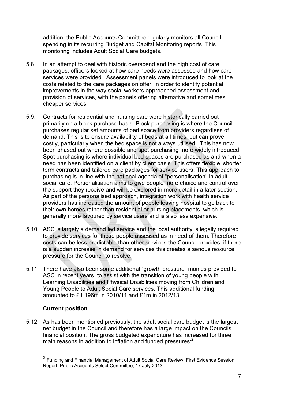addition, the Public Accounts Committee regularly monitors all Council spending in its recurring Budget and Capital Monitoring reports. This monitoring includes Adult Social Care budgets.

- 5.8. In an attempt to deal with historic overspend and the high cost of care packages, officers looked at how care needs were assessed and how care services were provided. Assessment panels were introduced to look at the costs related to the care packages on offer, in order to identify potential improvements in the way social workers approached assessment and provision of services, with the panels offering alternative and sometimes cheaper services
- 5.9. Contracts for residential and nursing care were historically carried out primarily on a block purchase basis. Block purchasing is where the Council purchases regular set amounts of bed space from providers regardless of demand. This is to ensure availability of beds at all times, but can prove costly, particularly when the bed space is not always utilised. This has now been phased out where possible and spot purchasing more widely introduced. Spot purchasing is where individual bed spaces are purchased as and when a need has been identified on a client by client basis. This offers flexible, shorter term contracts and tailored care packages for service users. This approach to purchasing is in line with the national agenda of "personalisation" in adult social care. Personalisation aims to give people more choice and control over the support they receive and will be explored in more detail in a later section. As part of the personalised approach, integration work with health service providers has increased the amount of people leaving hospital to go back to their own homes rather than residential or nursing placements, which is generally more favoured by service users and is also less expensive.
- 5.10. ASC is largely a demand led service and the local authority is legally required to provide services for those people assessed as in need of them. Therefore costs can be less predictable than other services the Council provides; if there is a sudden increase in demand for services this creates a serious resource pressure for the Council to resolve.
- 5.11. There have also been some additional "growth pressure" monies provided to ASC in recent years, to assist with the transition of young people with Learning Disabilities and Physical Disabilities moving from Children and Young People to Adult Social Care services. This additional funding amounted to £1.196m in 2010/11 and £1m in 2012/13.

## Current position

5.12. As has been mentioned previously, the adult social care budget is the largest net budget in the Council and therefore has a large impact on the Councils financial position. The gross budgeted expenditure has increased for three main reasons in addition to inflation and funded pressures:<sup>2</sup>

 2 Funding and Financial Management of Adult Social Care Review: First Evidence Session Report, Public Accounts Select Committee, 17 July 2013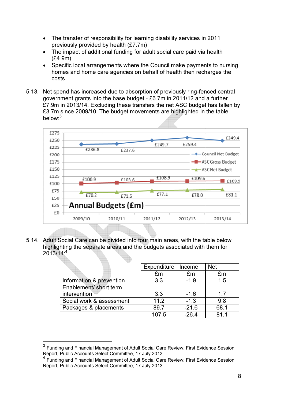- The transfer of responsibility for learning disability services in 2011 previously provided by health (£7.7m)
- The impact of additional funding for adult social care paid via health (£4.9m)
- Specific local arrangements where the Council make payments to nursing homes and home care agencies on behalf of health then recharges the costs.
- 5.13. Net spend has increased due to absorption of previously ring-fenced central government grants into the base budget - £6.7m in 2011/12 and a further £7.9m in 2013/14. Excluding these transfers the net ASC budget has fallen by £3.7m since 2009/10. The budget movements are highlighted in the table below:<sup>3</sup>



5.14. Adult Social Care can be divided into four main areas, with the table below highlighting the separate areas and the budgets associated with them for  $2013/14$ :<sup>4</sup>

|                          | Expenditure | Income  | <b>Net</b> |
|--------------------------|-------------|---------|------------|
|                          | £m          | £m      | £m         |
| Information & prevention | 3.3         | $-1.9$  | 1.5        |
| Enablement/ short term   |             |         |            |
| intervention             | 3.3         | $-1.6$  | 17         |
| Social work & assessment | 11.2        | $-1.3$  | 9.8        |
| Packages & placements    | 89.7        | $-21.6$ | 68.1       |
|                          | 107.5       | $-26.4$ | 811        |

 $^3$  Funding and Financial Management of Adult Social Care Review: First Evidence Session Report, Public Accounts Select Committee, 17 July 2013

<sup>.&</sup>lt;br>4 Funding and Financial Management of Adult Social Care Review: First Evidence Session Report, Public Accounts Select Committee, 17 July 2013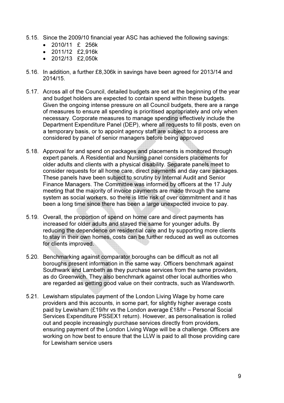- 5.15. Since the 2009/10 financial year ASC has achieved the following savings:
	- 2010/11 £ 256k
	- 2011/12 £2,916k
	- 2012/13 £2,050k
- 5.16. In addition, a further £8,306k in savings have been agreed for 2013/14 and 2014/15.
- 5.17. Across all of the Council, detailed budgets are set at the beginning of the year and budget holders are expected to contain spend within these budgets. Given the ongoing intense pressure on all Council budgets, there are a range of measures to ensure all spending is prioritised appropriately and only when necessary. Corporate measures to manage spending effectively include the Department Expenditure Panel (DEP), where all requests to fill posts, even on a temporary basis, or to appoint agency staff are subject to a process are considered by panel of senior managers before being approved
- 5.18. Approval for and spend on packages and placements is monitored through expert panels. A Residential and Nursing panel considers placements for older adults and clients with a physical disability. Separate panels meet to consider requests for all home care, direct payments and day care packages. These panels have been subject to scrutiny by Internal Audit and Senior Finance Managers. The Committee was informed by officers at the 17 July meeting that the majority of invoice payments are made through the same system as social workers, so there is little risk of over commitment and it has been a long time since there has been a large unexpected invoice to pay.
- 5.19. Overall, the proportion of spend on home care and direct payments has increased for older adults and stayed the same for younger adults. By reducing the dependence on residential care and by supporting more clients to stay in their own homes, costs can be further reduced as well as outcomes for clients improved.
- 5.20. Benchmarking against comparator boroughs can be difficult as not all boroughs present information in the same way. Officers benchmark against Southwark and Lambeth as they purchase services from the same providers, as do Greenwich. They also benchmark against other local authorities who are regarded as getting good value on their contracts, such as Wandsworth.
- 5.21. Lewisham stipulates payment of the London Living Wage by home care providers and this accounts, in some part, for slightly higher average costs paid by Lewisham (£19/hr vs the London average £18/hr – Personal Social Services Expenditure PSSEX1 return). However, as personalisation is rolled out and people increasingly purchase services directly from providers, ensuring payment of the London Living Wage will be a challenge. Officers are working on how best to ensure that the LLW is paid to all those providing care for Lewisham service users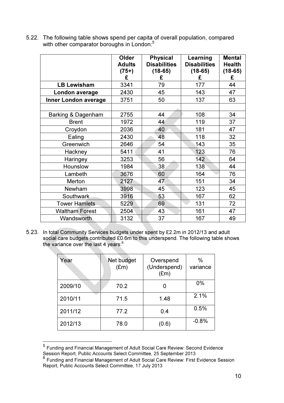|                             | Older<br><b>Adults</b><br>$(75+)$<br>£ | <b>Physical</b><br><b>Disabilities</b><br>$(18-65)$<br>£ | Learning<br><b>Disabilities</b><br>$(18-65)$<br>£ | <b>Mental</b><br><b>Health</b><br>$(18-65)$<br>£ |
|-----------------------------|----------------------------------------|----------------------------------------------------------|---------------------------------------------------|--------------------------------------------------|
| <b>LB Lewisham</b>          | 3341                                   | 79                                                       | 177                                               | 44                                               |
| London average              | 2430                                   | 45                                                       | 143                                               | 47                                               |
| <b>Inner London average</b> | 3751                                   | 50                                                       | 137                                               | 63                                               |
|                             |                                        |                                                          |                                                   |                                                  |
| Barking & Dagenham          | 2755                                   | 44                                                       | 108                                               | 34                                               |
| <b>Brent</b>                | 1972                                   | 44                                                       | 119                                               | 37                                               |
| Croydon                     | 2036                                   | 40                                                       | 181                                               | 47                                               |
| Ealing                      | 2430                                   | 48                                                       | 118                                               | 32                                               |
| Greenwich                   | 2646                                   | 54                                                       | 143                                               | 35                                               |
| Hackney                     | 5411                                   | 41                                                       | 123                                               | 76                                               |
| Haringey                    | 3253                                   | 56                                                       | 142                                               | 64                                               |
| Hounslow                    | 1984                                   | 38                                                       | 138                                               | 44                                               |
| Lambeth                     | 3676                                   | 60                                                       | 164                                               | 76                                               |
| Merton                      | 2127                                   | 47                                                       | 151                                               | 34                                               |
| Newham                      | 3998                                   | 45                                                       | 123                                               | 45                                               |
| Southwark                   | 3916                                   | 53                                                       | 167                                               | 62                                               |
| <b>Tower Hamlets</b>        | 5229                                   | 69                                                       | 131                                               | 72                                               |
| <b>Waltham Forest</b>       | 2504                                   | 43                                                       | 161                                               | 47                                               |
| Wandsworth                  | 3132                                   | 37                                                       | 167                                               | 49                                               |

5.22. The following table shows spend per capita of overall population, compared with other comparator boroughs in London:<sup>5</sup>

5.23. In total Community Services budgets under spent by £2.2m in 2012/13 and adult social care budgets contributed £0.6m to this underspend. The following table shows the variance over the last 4 years:<sup>6</sup>

| Year    | Net budget<br>$(\text{Em})$ | Overspend<br>(Underspend)<br>(Em) | $\%$<br>variance |
|---------|-----------------------------|-----------------------------------|------------------|
| 2009/10 | 70.2                        |                                   | $0\%$            |
| 2010/11 | 71.5                        | 1.48                              | 2.1%             |
| 2011/12 | 77.2                        | 0.4                               | 0.5%             |
| 2012/13 | 78.0                        | (0.6)                             | $-0.8%$          |

 5 Funding and Financial Management of Adult Social Care Review: Second Evidence

Session Report, Public Accounts Select Committee, 25 September 2013<br><sup>6</sup> Funding and Financial Management of Adult Social Care Review: First Evidence Session Report, Public Accounts Select Committee, 17 July 2013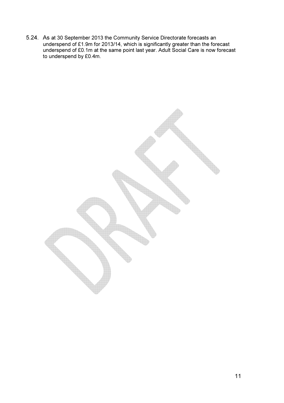5.24. As at 30 September 2013 the Community Service Directorate forecasts an underspend of £1.9m for 2013/14, which is significantly greater than the forecast underspend of £0.1m at the same point last year. Adult Social Care is now forecast to underspend by £0.4m.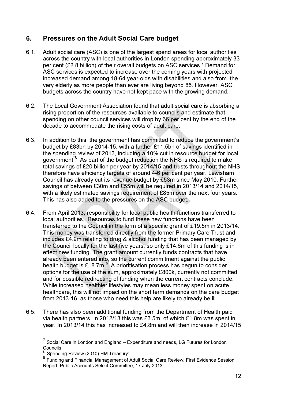## 6. Pressures on the Adult Social Care budget

- 6.1. Adult social care (ASC) is one of the largest spend areas for local authorities across the country with local authorities in London spending approximately 33 per cent (£2.8 billion) of their overall budgets on ASC services.<sup>7</sup> Demand for ASC services is expected to increase over the coming years with projected increased demand among 18-64 year-olds with disabilities and also from the very elderly as more people than ever are living beyond 85. However, ASC budgets across the country have not kept pace with the growing demand.
- 6.2. The Local Government Association found that adult social care is absorbing a rising proportion of the resources available to councils and estimate that spending on other council services will drop by 66 per cent by the end of the decade to accommodate the rising costs of adult care.
- 6.3. In addition to this, the government has committed to reduce the government's budget by £83bn by 2014-15, with a further £11.5bn of savings identified in the spending review of 2013, including a 10% cut in resource budget for local government.<sup>8</sup> As part of the budget reduction the NHS is required to make total savings of £20 billion per year by 2014/15 and trusts throughout the NHS therefore have efficiency targets of around 4-6 per cent per year. Lewisham Council has already cut its revenue budget by £53m since May 2010. Further savings of between £30m and £55m will be required in 2013/14 and 2014/15, with a likely estimated savings requirement of £85m over the next four years. This has also added to the pressures on the ASC budget.
- 6.4. From April 2013, responsibility for local public health functions transferred to local authorities. Resources to fund these new functions have been transferred to the Council in the form of a specific grant of £19.5m in 2013/14. This money was transferred directly from the former Primary Care Trust and includes £4.9m relating to drug & alcohol funding that has been managed by the Council locally for the last five years, so only £14.6m of this funding is in effect new funding. The grant amount currently funds contracts that have already been entered into, so the current commitment against the public health budget is £18.7m.<sup>9</sup> A prioritisation process has begun to consider options for the use of the sum, approximately £800k, currently not committed and for possible redirecting of funding when the current contracts conclude. While increased healthier lifestyles may mean less money spent on acute healthcare, this will not impact on the short term demands on the care budget from 2013-16, as those who need this help are likely to already be ill.
- 6.5. There has also been additional funding from the Department of Health paid via health partners. In 2012/13 this was £3.5m, of which £1.8m was spent in year. In 2013/14 this has increased to £4.8m and will then increase in 2014/15

 $\frac{1}{7}$ Social Care in London and England – Expenditure and needs, LG Futures for London Councils

Spending Review (2010) HM Treasury:

g<br><sup>9</sup> Funding and Financial Management of Adult Social Care Review: First Evidence Session Report, Public Accounts Select Committee, 17 July 2013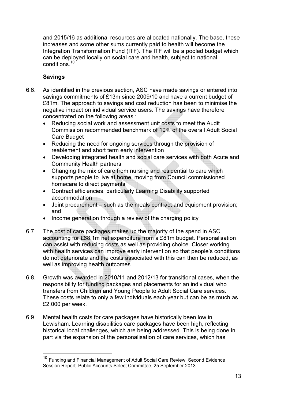and 2015/16 as additional resources are allocated nationally. The base, these increases and some other sums currently paid to health will become the Integration Transformation Fund (ITF). The ITF will be a pooled budget which can be deployed locally on social care and health, subject to national conditions.<sup>10</sup>

## Savings

- 6.6. As identified in the previous section, ASC have made savings or entered into savings commitments of £13m since 2009/10 and have a current budget of £81m. The approach to savings and cost reduction has been to minimise the negative impact on individual service users. The savings have therefore concentrated on the following areas :
	- Reducing social work and assessment unit costs to meet the Audit Commission recommended benchmark of 10% of the overall Adult Social Care Budget
	- Reducing the need for ongoing services through the provision of reablement and short term early intervention
	- Developing integrated health and social care services with both Acute and Community Health partners
	- Changing the mix of care from nursing and residential to care which supports people to live at home, moving from Council commissioned homecare to direct payments
	- Contract efficiencies, particularly Learning Disability supported accommodation
	- Joint procurement such as the meals contract and equipment provision; and
	- Income generation through a review of the charging policy
- 6.7. The cost of care packages makes up the majority of the spend in ASC, accounting for £68.1m net expenditure from a £81m budget. Personalisation can assist with reducing costs as well as providing choice. Closer working with health services can improve early intervention so that people's conditions do not deteriorate and the costs associated with this can then be reduced, as well as improving health outcomes.
- 6.8. Growth was awarded in 2010/11 and 2012/13 for transitional cases, when the responsibility for funding packages and placements for an individual who transfers from Children and Young People to Adult Social Care services. These costs relate to only a few individuals each year but can be as much as £2,000 per week.
- 6.9. Mental health costs for care packages have historically been low in Lewisham. Learning disabilities care packages have been high, reflecting historical local challenges, which are being addressed. This is being done in part via the expansion of the personalisation of care services, which has

<sup>&</sup>lt;sup>10</sup> Funding and Financial Management of Adult Social Care Review: Second Evidence Session Report, Public Accounts Select Committee, 25 September 2013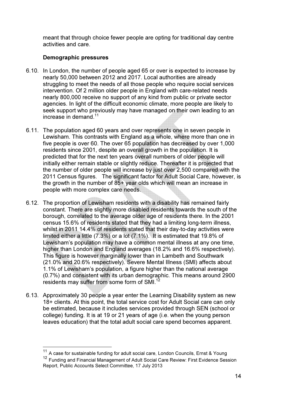meant that through choice fewer people are opting for traditional day centre activities and care.

## Demographic pressures

 $\overline{\phantom{a}}$ 

- 6.10. In London, the number of people aged 65 or over is expected to increase by nearly 50,000 between 2012 and 2017. Local authorities are already struggling to meet the needs of all those people who require social services intervention. Of 2 million older people in England with care-related needs nearly 800,000 receive no support of any kind from public or private sector agencies. In light of the difficult economic climate, more people are likely to seek support who previously may have managed on their own leading to an increase in demand.<sup>11</sup>
- 6.11. The population aged 60 years and over represents one in seven people in Lewisham. This contrasts with England as a whole, where more than one in five people is over 60. The over 65 population has decreased by over 1,000 residents since 2001, despite an overall growth in the population. It is predicted that for the next ten years overall numbers of older people will initially either remain stable or slightly reduce. Thereafter it is projected that the number of older people will increase by just over 2,500 compared with the 2011 Census figures. The significant factor for Adult Social Care, however, is the growth in the number of 85+ year olds which will mean an increase in people with more complex care needs.
- 6.12. The proportion of Lewisham residents with a disability has remained fairly constant. There are slightly more disabled residents towards the south of the borough, correlated to the average older age of residents there. In the 2001 census 15.6% of residents stated that they had a limiting long-term illness, whilst in 2011 14.4% of residents stated that their day-to-day activities were limited either a little (7.3%) or a lot (7.1%). It is estimated that 19.8% of Lewisham's population may have a common mental illness at any one time, higher than London and England averages (18.2% and 16.6% respectively). This figure is however marginally lower than in Lambeth and Southwark (21.0% and 20.6% respectively). Severe Mental Illness (SMI) affects about 1.1% of Lewisham's population, a figure higher than the national average (0.7%) and consistent with its urban demographic. This means around 2900 residents may suffer from some form of SMI.<sup>12</sup>
- 6.13. Approximately 30 people a year enter the Learning Disability system as new 18+ clients. At this point, the total service cost for Adult Social care can only be estimated, because it includes services provided through SEN (school or college) funding. It is at 19 or 21 years of age (i.e. when the young person leaves education) that the total adult social care spend becomes apparent.

 $11$  A case for sustainable funding for adult social care, London Councils, Ernst & Young <sup>12</sup> Funding and Financial Management of Adult Social Care Review: First Evidence Session Report, Public Accounts Select Committee, 17 July 2013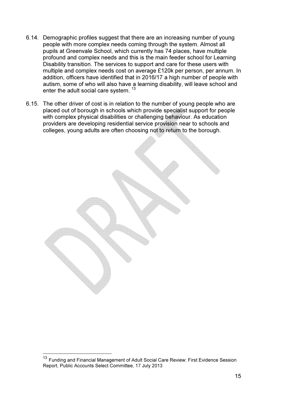- 6.14. Demographic profiles suggest that there are an increasing number of young people with more complex needs coming through the system. Almost all pupils at Greenvale School, which currently has 74 places, have multiple profound and complex needs and this is the main feeder school for Learning Disability transition. The services to support and care for these users with multiple and complex needs cost on average £120k per person, per annum. In addition, officers have identified that in 2016/17 a high number of people with autism, some of who will also have a learning disability, will leave school and enter the adult social care system.<sup>13</sup>
- 6.15. The other driver of cost is in relation to the number of young people who are placed out of borough in schools which provide specialist support for people with complex physical disabilities or challenging behaviour. As education providers are developing residential service provision near to schools and colleges, young adults are often choosing not to return to the borough.

<sup>13</sup> Funding and Financial Management of Adult Social Care Review: First Evidence Session Report, Public Accounts Select Committee, 17 July 2013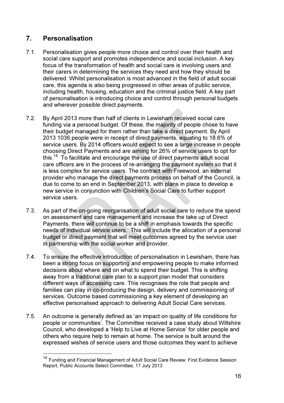## 7. Personalisation

- 7.1. Personalisation gives people more choice and control over their health and social care support and promotes independence and social inclusion. A key focus of the transformation of health and social care is involving users and their carers in determining the services they need and how they should be delivered. Whilst personalisation is most advanced in the field of adult social care, this agenda is also being progressed in other areas of public service, including health, housing, education and the criminal justice field. A key part of personalisation is introducing choice and control through personal budgets and wherever possible direct payments.
- 7.2. By April 2013 more than half of clients in Lewisham received social care funding via a personal budget. Of these, the majority of people chose to have their budget managed for them rather than take a direct payment. By April 2013 1036 people were in receipt of direct payments, equating to 18.6% of service users. By 2014 officers would expect to see a large increase in people choosing Direct Payments and are aiming for 26% of service users to opt for this.<sup>14</sup> To facilitate and encourage the use of direct payments adult social care officers are in the process of re-arranging the payment system so that it is less complex for service users. The contract with Freewood, an external provider who manage the direct payments process on behalf of the Council, is due to come to an end in September 2013, with plans in place to develop a new service in conjunction with Children's Social Care to further support service users.
- 7.3. As part of the on-going reorganisation of adult social care to reduce the spend on assessment and care management and increase the take up of Direct Payments, there will continue to be a shift in emphasis towards the specific needs of individual service users. This will include the allocation of a personal budget or direct payment that will meet outcomes agreed by the service user in partnership with the social worker and provider.
- 7.4. To ensure the effective introduction of personalisation in Lewisham, there has been a strong focus on supporting and empowering people to make informed decisions about where and on what to spend their budget. This is shifting away from a traditional care plan to a support plan model that considers different ways of accessing care. This recognises the role that people and families can play in co-producing the design, delivery and commissioning of services. Outcome based commissioning a key element of developing an effective personalised approach to delivering Adult Social Care services.
- 7.5. An outcome is generally defined as 'an impact on quality of life conditions for people or communities'. The Committee received a case study about Wiltshire Council, who developed a 'Help to Live at Home Service' for older people and others who require help to remain at home. The service is built around the expressed wishes of service users and those outcomes they want to achieve

<sup>&</sup>lt;sup>14</sup> Funding and Financial Management of Adult Social Care Review: First Evidence Session Report, Public Accounts Select Committee, 17 July 2013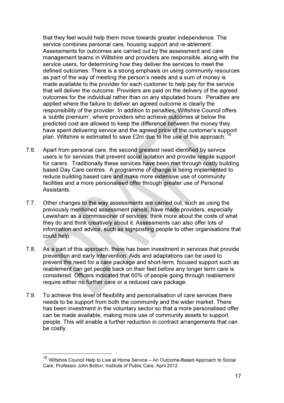that they feel would help them move towards greater independence. The service combines personal care, housing support and re-ablement. Assessments for outcomes are carried out by the assessment and care management teams in Wiltshire and providers are responsible, along with the service users, for determining how they deliver the services to meet the defined outcomes. There is a strong emphasis on using community resources as part of the way of meeting the person's needs and a sum of money is made available to the provider for each customer to help pay for the service that will deliver the outcome. Providers are paid on the delivery of the agreed outcomes for the individual rather than on any stipulated hours. Penalties are applied where the failure to deliver an agreed outcome is clearly the responsibility of the provider. In addition to penalties, Wiltshire Council offers a 'subtle premium', where providers who achieve outcomes at below the predicted cost are allowed to keep the difference between the money they have spent delivering service and the agreed price of the customer's support plan. Wiltshire is estimated to save £2m due to the use of this approach.

- 7.6. Apart from personal care, the second greatest need identified by service users is for services that prevent social isolation and provide respite support for carers. Traditionally these services have been met through costly building based Day Care centres. A programme of change is being implemented to reduce building based care and make more extensive use of community facilities and a more personalised offer through greater use of Personal **Assistants**
- 7.7. Other changes to the way assessments are carried out, such as using the previously mentioned assessment panels, have made providers, especially Lewisham as a commissioner of services, think more about the costs of what they do and think creatively about it. Assessments can also offer lots of information and advice, such as signposting people to other organisations that could help.
- 7.8. As a part of this approach, there has been investment in services that provide prevention and early intervention. Aids and adaptations can be used to prevent the need for a care package and short-term, focused support such as reablement can get people back on their feet before any longer term care is considered. Officers indicated that 60% of people going through reablement require either no further care or a reduced care package.
- 7.9. To achieve this level of flexibility and personalisation of care services there needs to be support from both the community and the wider market. There has been investment in the voluntary sector so that a more personalised offer can be made available, making more use of community assets to support people. This will enable a further reduction in contract arrangements that can be costly.

<sup>&</sup>lt;sup>15</sup> Wiltshire Council Help to Live at Home Service – An Outcome-Based Approach to Social Care, Professor John Bolton, Institute of Public Care, April 2012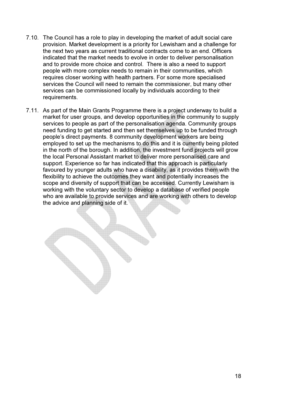- 7.10. The Council has a role to play in developing the market of adult social care provision. Market development is a priority for Lewisham and a challenge for the next two years as current traditional contracts come to an end. Officers indicated that the market needs to evolve in order to deliver personalisation and to provide more choice and control. There is also a need to support people with more complex needs to remain in their communities, which requires closer working with health partners. For some more specialised services the Council will need to remain the commissioner, but many other services can be commissioned locally by individuals according to their requirements.
- 7.11. As part of the Main Grants Programme there is a project underway to build a market for user groups, and develop opportunities in the community to supply services to people as part of the personalisation agenda. Community groups need funding to get started and then set themselves up to be funded through people's direct payments. 8 community development workers are being employed to set up the mechanisms to do this and it is currently being piloted in the north of the borough. In addition, the investment fund projects will grow the local Personal Assistant market to deliver more personalised care and support. Experience so far has indicated that this approach is particularly favoured by younger adults who have a disability, as it provides them with the flexibility to achieve the outcomes they want and potentially increases the scope and diversity of support that can be accessed. Currently Lewisham is working with the voluntary sector to develop a database of verified people who are available to provide services and are working with others to develop the advice and planning side of it.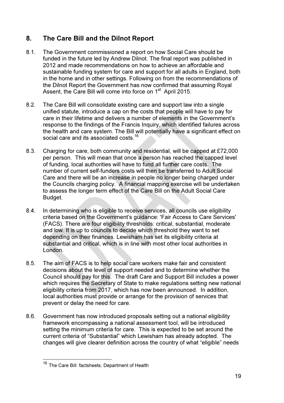## 8. The Care Bill and the Dilnot Report

- 8.1. The Government commissioned a report on how Social Care should be funded in the future led by Andrew Dilnot. The final report was published in 2012 and made recommendations on how to achieve an affordable and sustainable funding system for care and support for all adults in England, both in the home and in other settings. Following on from the recommendations of the Dilnot Report the Government has now confirmed that assuming Royal Assent, the Care Bill will come into force on 1<sup>st</sup> April 2015.
- 8.2. The Care Bill will consolidate existing care and support law into a single unified statute, introduce a cap on the costs that people will have to pay for care in their lifetime and delivers a number of elements in the Government's response to the findings of the Francis Inquiry, which identified failures across the health and care system. The Bill will potentially have a significant effect on social care and its associated costs.<sup>16</sup>
- 8.3. Charging for care, both community and residential, will be capped at £72,000 per person. This will mean that once a person has reached the capped level of funding, local authorities will have to fund all further care costs. The number of current self-funders costs will then be transferred to Adult Social Care and there will be an increase in people no longer being charged under the Councils charging policy. A financial mapping exercise will be undertaken to assess the longer term effect of the Care Bill on the Adult Social Care Budget.
- 8.4. In determining who is eligible to receive services, all councils use eligibility criteria based on the Government's guidance: 'Fair Access to Care Services' (FACS). There are four eligibility thresholds: critical, substantial, moderate and low. It is up to councils to decide which threshold they want to set depending on their finances. Lewisham has set its eligibility criteria at substantial and critical, which is in line with most other local authorities in London.
- 8.5. The aim of FACS is to help social care workers make fair and consistent decisions about the level of support needed and to determine whether the Council should pay for this. The draft Care and Support Bill includes a power which requires the Secretary of State to make regulations setting new national eligibility criteria from 2017, which has now been announced. In addition, local authorities must provide or arrange for the provision of services that prevent or delay the need for care.
- 8.6. Government has now introduced proposals setting out a national eligibility framework encompassing a national assessment tool, will be introduced setting the minimum criteria for care. This is expected to be set around the current criteria of "Substantial" which Lewisham has already adopted. The changes will give clearer definition across the country of what "eligible" needs

<sup>&</sup>lt;sup>16</sup> The Care Bill: factsheets, Department of Health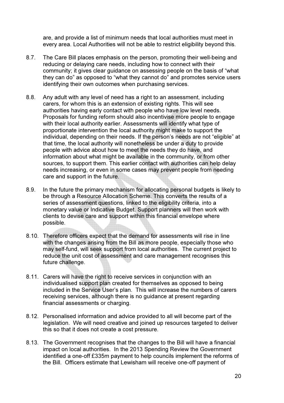are, and provide a list of minimum needs that local authorities must meet in every area. Local Authorities will not be able to restrict eligibility beyond this.

- 8.7. The Care Bill places emphasis on the person, promoting their well-being and reducing or delaying care needs, including how to connect with their community; it gives clear guidance on assessing people on the basis of "what they can do" as opposed to "what they cannot do" and promotes service users identifying their own outcomes when purchasing services.
- 8.8. Any adult with any level of need has a right to an assessment, including carers, for whom this is an extension of existing rights. This will see authorities having early contact with people who have low level needs. Proposals for funding reform should also incentivise more people to engage with their local authority earlier. Assessments will identify what type of proportionate intervention the local authority might make to support the individual, depending on their needs. If the person's needs are not "eligible" at that time, the local authority will nonetheless be under a duty to provide people with advice about how to meet the needs they do have, and information about what might be available in the community, or from other sources, to support them. This earlier contact with authorities can help delay needs increasing, or even in some cases may prevent people from needing care and support in the future.
- 8.9. In the future the primary mechanism for allocating personal budgets is likely to be through a Resource Allocation Scheme. This converts the results of a series of assessment questions, linked to the eligibility criteria, into a monetary value or Indicative Budget. Support planners will then work with clients to devise care and support within this financial envelope where possible.
- 8.10. Therefore officers expect that the demand for assessments will rise in line with the changes arising from the Bill as more people, especially those who may self-fund, will seek support from local authorities. The current project to reduce the unit cost of assessment and care management recognises this future challenge.
- 8.11. Carers will have the right to receive services in conjunction with an individualised support plan created for themselves as opposed to being included in the Service User's plan. This will increase the numbers of carers receiving services, although there is no guidance at present regarding financial assessments or charging.
- 8.12. Personalised information and advice provided to all will become part of the legislation. We will need creative and joined up resources targeted to deliver this so that it does not create a cost pressure.
- 8.13. The Government recognises that the changes to the Bill will have a financial impact on local authorities. In the 2013 Spending Review the Government identified a one-off £335m payment to help councils implement the reforms of the Bill. Officers estimate that Lewisham will receive one-off payment of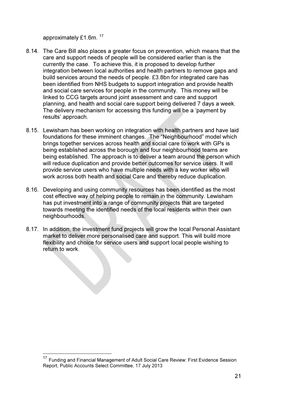approximately £1.6m. <sup>17</sup>

- 8.14. The Care Bill also places a greater focus on prevention, which means that the care and support needs of people will be considered earlier than is the currently the case. To achieve this, it is proposed to develop further integration between local authorities and health partners to remove gaps and build services around the needs of people. £3.8bn for integrated care has been identified from NHS budgets to support integration and provide health and social care services for people in the community. This money will be linked to CCG targets around joint assessment and care and support planning, and health and social care support being delivered 7 days a week. The delivery mechanism for accessing this funding will be a 'payment by results' approach.
- 8.15. Lewisham has been working on integration with health partners and have laid foundations for these imminent changes. The "Neighbourhood" model which brings together services across health and social care to work with GPs is being established across the borough and four neighbourhood teams are being established. The approach is to deliver a team around the person which will reduce duplication and provide better outcomes for service users. It will provide service users who have multiple needs with a key worker who will work across both health and social Care and thereby reduce duplication.
- 8.16. Developing and using community resources has been identified as the most cost effective way of helping people to remain in the community. Lewisham has put investment into a range of community projects that are targeted towards meeting the identified needs of the local residents within their own neighbourhoods.
- 8.17. In addition, the investment fund projects will grow the local Personal Assistant market to deliver more personalised care and support. This will build more flexibility and choice for service users and support local people wishing to return to work.

<sup>&</sup>lt;sup>17</sup> Funding and Financial Management of Adult Social Care Review: First Evidence Session Report, Public Accounts Select Committee, 17 July 2013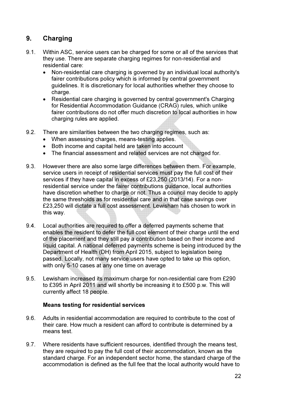## 9. Charging

- 9.1. Within ASC, service users can be charged for some or all of the services that they use. There are separate charging regimes for non-residential and residential care:
	- Non-residential care charging is governed by an individual local authority's fairer contributions policy which is informed by central government guidelines. It is discretionary for local authorities whether they choose to charge.
	- Residential care charging is governed by central government's Charging for Residential Accommodation Guidance (CRAG) rules, which unlike fairer contributions do not offer much discretion to local authorities in how charging rules are applied.
- 9.2. There are similarities between the two charging regimes, such as:
	- When assessing charges, means-testing applies.
	- Both income and capital held are taken into account
	- The financial assessment and related services are not charged for.
- 9.3. However there are also some large differences between them. For example, service users in receipt of residential services must pay the full cost of their services if they have capital in excess of £23,250 (2013/14). For a nonresidential service under the fairer contributions guidance, local authorities have discretion whether to charge or not. Thus a council may decide to apply the same thresholds as for residential care and in that case savings over £23,250 will dictate a full cost assessment. Lewisham has chosen to work in this way.
- 9.4. Local authorities are required to offer a deferred payments scheme that enables the resident to defer the full cost element of their charge until the end of the placement and they still pay a contribution based on their income and liquid capital. A national deferred payments scheme is being introduced by the Department of Health (DH) from April 2015, subject to legislation being passed. Locally, not many service users have opted to take up this option, with only 5-10 cases at any one time on average
- 9.5. Lewisham increased its maximum charge for non-residential care from £290 to £395 in April 2011 and will shortly be increasing it to £500 p.w. This will currently affect 18 people.

#### Means testing for residential services

- 9.6. Adults in residential accommodation are required to contribute to the cost of their care. How much a resident can afford to contribute is determined by a means test.
- 9.7. Where residents have sufficient resources, identified through the means test, they are required to pay the full cost of their accommodation, known as the standard charge. For an independent sector home, the standard charge of the accommodation is defined as the full fee that the local authority would have to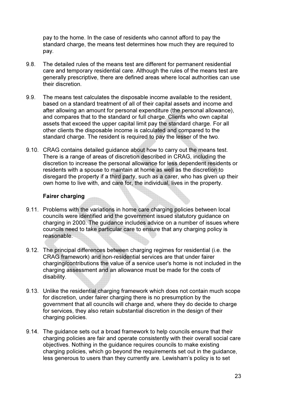pay to the home. In the case of residents who cannot afford to pay the standard charge, the means test determines how much they are required to pay.

- 9.8. The detailed rules of the means test are different for permanent residential care and temporary residential care. Although the rules of the means test are generally prescriptive, there are defined areas where local authorities can use their discretion.
- 9.9. The means test calculates the disposable income available to the resident, based on a standard treatment of all of their capital assets and income and after allowing an amount for personal expenditure (the personal allowance), and compares that to the standard or full charge. Clients who own capital assets that exceed the upper capital limit pay the standard charge. For all other clients the disposable income is calculated and compared to the standard charge. The resident is required to pay the lesser of the two.
- 9.10. CRAG contains detailed guidance about how to carry out the means test. There is a range of areas of discretion described in CRAG, including the discretion to increase the personal allowance for less dependent residents or residents with a spouse to maintain at home as well as the discretion to disregard the property if a third party, such as a carer, who has given up their own home to live with, and care for, the individual, lives in the property.

#### Fairer charging

- 9.11. Problems with the variations in home care charging policies between local councils were identified and the government issued statutory guidance on charging in 2000. The guidance includes advice on a number of issues where councils need to take particular care to ensure that any charging policy is reasonable.
- 9.12. The principal differences between charging regimes for residential (i.e. the CRAG framework) and non-residential services are that under fairer charging/contributions the value of a service user's home is not included in the charging assessment and an allowance must be made for the costs of disability.
- 9.13. Unlike the residential charging framework which does not contain much scope for discretion, under fairer charging there is no presumption by the government that all councils will charge and, where they do decide to charge for services, they also retain substantial discretion in the design of their charging policies.
- 9.14. The guidance sets out a broad framework to help councils ensure that their charging policies are fair and operate consistently with their overall social care objectives. Nothing in the guidance requires councils to make existing charging policies, which go beyond the requirements set out in the guidance, less generous to users than they currently are. Lewisham's policy is to set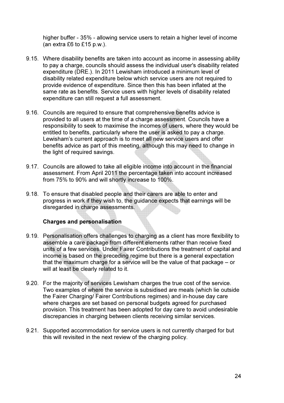higher buffer - 35% - allowing service users to retain a higher level of income (an extra £6 to £15 p.w.).

- 9.15. Where disability benefits are taken into account as income in assessing ability to pay a charge, councils should assess the individual user's disability related expenditure (DRE.). In 2011 Lewisham introduced a minimum level of disability related expenditure below which service users are not required to provide evidence of expenditure. Since then this has been inflated at the same rate as benefits. Service users with higher levels of disability related expenditure can still request a full assessment.
- 9.16. Councils are required to ensure that comprehensive benefits advice is provided to all users at the time of a charge assessment. Councils have a responsibility to seek to maximise the incomes of users, where they would be entitled to benefits, particularly where the user is asked to pay a charge. Lewisham's current approach is to meet all new service users and offer benefits advice as part of this meeting, although this may need to change in the light of required savings.
- 9.17. Councils are allowed to take all eligible income into account in the financial assessment. From April 2011 the percentage taken into account increased from 75% to 90% and will shortly increase to 100%.
- 9.18. To ensure that disabled people and their carers are able to enter and progress in work if they wish to, the guidance expects that earnings will be disregarded in charge assessments.

#### Charges and personalisation

- 9.19. Personalisation offers challenges to charging as a client has more flexibility to assemble a care package from different elements rather than receive fixed units of a few services. Under Fairer Contributions the treatment of capital and income is based on the preceding regime but there is a general expectation that the maximum charge for a service will be the value of that package – or will at least be clearly related to it.
- 9.20. For the majority of services Lewisham charges the true cost of the service. Two examples of where the service is subsidised are meals (which lie outside the Fairer Charging/ Fairer Contributions regimes) and in-house day care where charges are set based on personal budgets agreed for purchased provision. This treatment has been adopted for day care to avoid undesirable discrepancies in charging between clients receiving similar services.
- 9.21. Supported accommodation for service users is not currently charged for but this will revisited in the next review of the charging policy.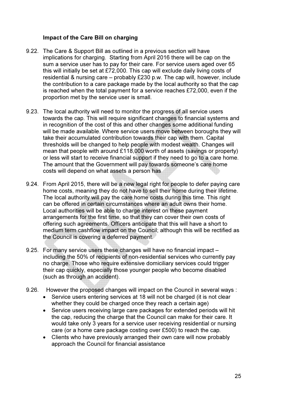#### Impact of the Care Bill on charging

- 9.22. The Care & Support Bill as outlined in a previous section will have implications for charging. Starting from April 2016 there will be cap on the sum a service user has to pay for their care. For service users aged over 65 this will initially be set at £72,000. This cap will exclude daily living costs of residential & nursing care – probably £230 p.w. The cap will, however, include the contribution to a care package made by the local authority so that the cap is reached when the total payment for a service reaches £72,000, even if the proportion met by the service user is small.
- 9.23. The local authority will need to monitor the progress of all service users towards the cap. This will require significant changes to financial systems and in recognition of the cost of this and other changes some additional funding will be made available. Where service users move between boroughs they will take their accumulated contribution towards their cap with them. Capital thresholds will be changed to help people with modest wealth. Changes will mean that people with around £118,000 worth of assets (savings or property) or less will start to receive financial support if they need to go to a care home. The amount that the Government will pay towards someone's care home costs will depend on what assets a person has
- 9.24. From April 2015, there will be a new legal right for people to defer paying care home costs, meaning they do not have to sell their home during their lifetime. The local authority will pay the care home costs during this time. This right can be offered in certain circumstances where an adult owns their home. Local authorities will be able to charge interest on these payment arrangements for the first time, so that they can cover their own costs of offering such agreements. Officers anticipate that this will have a short to medium term cashflow impact on the Council; although this will be rectified as the Council is covering a deferred payment.
- 9.25. For many service users these changes will have no financial impact including the 50% of recipients of non-residential services who currently pay no charge. Those who require extensive domiciliary services could trigger their cap quickly, especially those younger people who become disabled (such as through an accident).
- 9.26. However the proposed changes will impact on the Council in several ways :
	- Service users entering services at 18 will not be charged (it is not clear whether they could be charged once they reach a certain age)
	- Service users receiving large care packages for extended periods will hit the cap, reducing the charge that the Council can make for their care. It would take only 3 years for a service user receiving residential or nursing care (or a home care package costing over £500) to reach the cap.
	- Clients who have previously arranged their own care will now probably approach the Council for financial assistance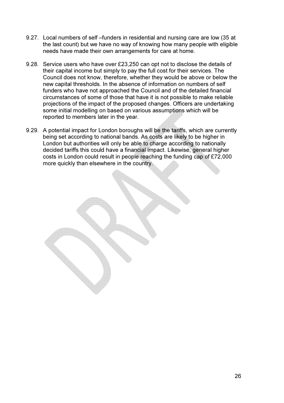- 9.27. Local numbers of self –funders in residential and nursing care are low (35 at the last count) but we have no way of knowing how many people with eligible needs have made their own arrangements for care at home.
- 9.28. Service users who have over £23,250 can opt not to disclose the details of their capital income but simply to pay the full cost for their services. The Council does not know, therefore, whether they would be above or below the new capital thresholds. In the absence of information on numbers of self funders who have not approached the Council and of the detailed financial circumstances of some of those that have it is not possible to make reliable projections of the impact of the proposed changes. Officers are undertaking some initial modelling on based on various assumptions which will be reported to members later in the year.
- 9.29. A potential impact for London boroughs will be the tariffs, which are currently being set according to national bands. As costs are likely to be higher in London but authorities will only be able to charge according to nationally decided tariffs this could have a financial impact. Likewise, general higher costs in London could result in people reaching the funding cap of £72,000 more quickly than elsewhere in the country.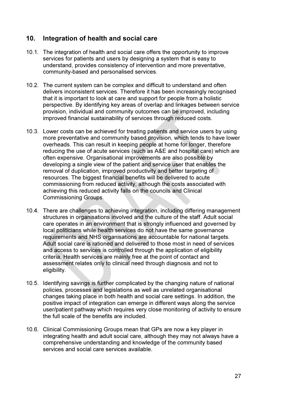## 10. Integration of health and social care

- 10.1. The integration of health and social care offers the opportunity to improve services for patients and users by designing a system that is easy to understand, provides consistency of intervention and more preventative, community-based and personalised services.
- 10.2. The current system can be complex and difficult to understand and often delivers inconsistent services. Therefore it has been increasingly recognised that it is important to look at care and support for people from a holistic perspective. By identifying key areas of overlap and linkages between service provision, individual and community outcomes can be improved, including improved financial sustainability of services through reduced costs.
- 10.3. Lower costs can be achieved for treating patients and service users by using more preventative and community based provision, which tends to have lower overheads. This can result in keeping people at home for longer, therefore reducing the use of acute services (such as A&E and hospital care) which are often expensive. Organisational improvements are also possible by developing a single view of the patient and service user that enables the removal of duplication, improved productivity and better targeting of resources. The biggest financial benefits will be delivered to acute commissioning from reduced activity, although the costs associated with achieving this reduced activity falls on the councils and Clinical Commissioning Groups.
- 10.4. There are challenges to achieving integration, including differing management structures in organisations involved and the culture of the staff. Adult social care operates in an environment that is strongly influenced and governed by local politicians while health services do not have the same governance requirements and NHS organisations are accountable for national targets. Adult social care is rationed and delivered to those most in need of services and access to services is controlled through the application of eligibility criteria. Health services are mainly free at the point of contact and assessment relates only to clinical need through diagnosis and not to eligibility.
- 10.5. Identifying savings is further complicated by the changing nature of national policies, processes and legislations as well as unrelated organisational changes taking place in both health and social care settings. In addition, the positive impact of integration can emerge in different ways along the service user/patient pathway which requires very close monitoring of activity to ensure the full scale of the benefits are included.
- 10.6. Clinical Commissioning Groups mean that GPs are now a key player in integrating health and adult social care, although they may not always have a comprehensive understanding and knowledge of the community based services and social care services available.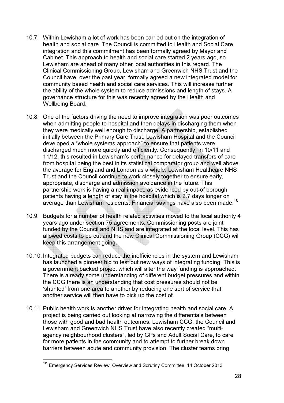- 10.7. Within Lewisham a lot of work has been carried out on the integration of health and social care. The Council is committed to Health and Social Care integration and this commitment has been formally agreed by Mayor and Cabinet. This approach to health and social care started 2 years ago, so Lewisham are ahead of many other local authorities in this regard. The Clinical Commissioning Group, Lewisham and Greenwich NHS Trust and the Council have, over the past year, formally agreed a new integrated model for community based health and social care services. This will increase further the ability of the whole system to reduce admissions and length of stays. A governance structure for this was recently agreed by the Health and Wellbeing Board.
- 10.8. One of the factors driving the need to improve integration was poor outcomes when admitting people to hospital and then delays in discharging them when they were medically well enough to discharge. A partnership, established initially between the Primary Care Trust, Lewisham Hospital and the Council developed a "whole systems approach" to ensure that patients were discharged much more quickly and efficiently. Consequently, in 10/11 and 11/12, this resulted in Lewisham's performance for delayed transfers of care from hospital being the best in its statistical comparator group and well above the average for England and London as a whole. Lewisham Healthcare NHS Trust and the Council continue to work closely together to ensure early, appropriate, discharge and admission avoidance in the future. This partnership work is having a real impact, as evidenced by out-of borough patients having a length of stay in the hospital which is 2.7 days longer on average than Lewisham residents. Financial savings have also been made.<sup>18</sup>
- 10.9. Budgets for a number of health related activities moved to the local authority 4 years ago under section 75 agreements. Commissioning posts are joint funded by the Council and NHS and are integrated at the local level. This has allowed costs to be cut and the new Clinical Commissioning Group (CCG) will keep this arrangement going.
- 10.10. Integrated budgets can reduce the inefficiencies in the system and Lewisham has launched a pioneer bid to test out new ways of integrating funding. This is a government backed project which will alter the way funding is approached. There is already some understanding of different budget pressures and within the CCG there is an understanding that cost pressures should not be 'shunted' from one area to another by reducing one sort of service that another service will then have to pick up the cost of.
- 10.11. Public health work is another driver for integrating health and social care. A project is being carried out looking at narrowing the differentials between those with good and bad health outcomes. Lewisham CCG, the Council and Lewisham and Greenwich NHS Trust have also recently created "multiagency neighbourhood clusters", led by GPs and Adult Social Care, to care for more patients in the community and to attempt to further break down barriers between acute and community provision. The cluster teams bring

<sup>&</sup>lt;sup>18</sup> Emergency Services Review, Overview and Scrutiny Committee, 14 October 2013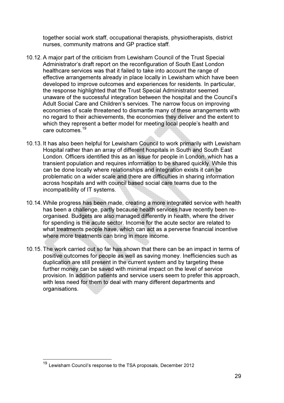together social work staff, occupational therapists, physiotherapists, district nurses, community matrons and GP practice staff.

- 10.12. A major part of the criticism from Lewisham Council of the Trust Special Administrator's draft report on the reconfiguration of South East London healthcare services was that it failed to take into account the range of effective arrangements already in place locally in Lewisham which have been developed to improve outcomes and experiences for residents. In particular, the response highlighted that the Trust Special Administrator seemed unaware of the successful integration between the hospital and the Council's Adult Social Care and Children's services. The narrow focus on improving economies of scale threatened to dismantle many of these arrangements with no regard to their achievements, the economies they deliver and the extent to which they represent a better model for meeting local people's health and care outcomes.<sup>19</sup>
- 10.13. It has also been helpful for Lewisham Council to work primarily with Lewisham Hospital rather than an array of different hospitals in South and South East London. Officers identified this as an issue for people in London, which has a transient population and requires information to be shared quickly. While this can be done locally where relationships and integration exists it can be problematic on a wider scale and there are difficulties in sharing information across hospitals and with council based social care teams due to the incompatibility of IT systems.
- 10.14. While progress has been made, creating a more integrated service with health has been a challenge, partly because health services have recently been reorganised. Budgets are also managed differently in health, where the driver for spending is the acute sector. Income for the acute sector are related to what treatments people have, which can act as a perverse financial incentive where more treatments can bring in more income.
- 10.15. The work carried out so far has shown that there can be an impact in terms of positive outcomes for people as well as saving money. Inefficiencies such as duplication are still present in the current system and by targeting these further money can be saved with minimal impact on the level of service provision. In addition patients and service users seem to prefer this approach, with less need for them to deal with many different departments and organisations.

<sup>&</sup>lt;sup>19</sup> Lewisham Council's response to the TSA proposals, December 2012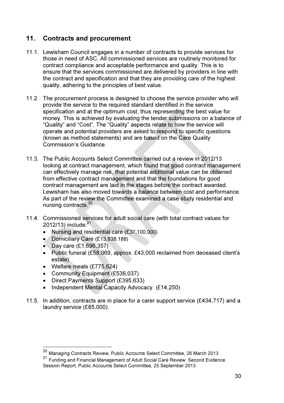## 11. Contracts and procurement

- 11.1. Lewisham Council engages in a number of contracts to provide services for those in need of ASC. All commissioned services are routinely monitored for contract compliance and acceptable performance and quality. This is to ensure that the services commissioned are delivered by providers in line with the contract and specification and that they are providing care of the highest quality, adhering to the principles of best value.
- 11.2. The procurement process is designed to choose the service provider who will provide the service to the required standard identified in the service specification and at the optimum cost, thus representing the best value for money. This is achieved by evaluating the tender submissions on a balance of "Quality" and "Cost". The "Quality" aspects relate to how the service will operate and potential providers are asked to respond to specific questions (known as method statements) and are based on the Care Quality Commission's Guidance.
- 11.3. The Public Accounts Select Committee carried out a review in 2012/13 looking at contract management, which found that good contract management can effectively manage risk, that potential additional value can be obtained from effective contract management and that the foundations for good contract management are laid in the stages before the contract awarded. Lewisham has also moved towards a balance between cost and performance. As part of the review the Committee examined a case study residential and nursing contracts.<sup>20</sup>
- 11.4. Commissioned services for adult social care (with total contract values for  $2012/13$ ) include: $^{21}$ 
	- Nursing and residential care (£37,100,000)
	- Domiciliary Care (£13,838,188)
	- Day care (£1,696,357)
	- Public funeral (£58,069, approx. £43,000 reclaimed from deceased client's estate)
	- Welfare meals (£775,624)

- Community Equipment (£536,037)
- Direct Payments Support (£395,633)
- Independent Mental Capacity Advocacy (£14,250)
- 11.5. In addition, contracts are in place for a carer support service (£434,717) and a laundry service (£85,000).

<sup>&</sup>lt;sup>20</sup> Managing Contracts Review, Public Accounts Select Committee, 26 March 2013

<sup>21</sup> Funding and Financial Management of Adult Social Care Review: Second Evidence Session Report, Public Accounts Select Committee, 25 September 2013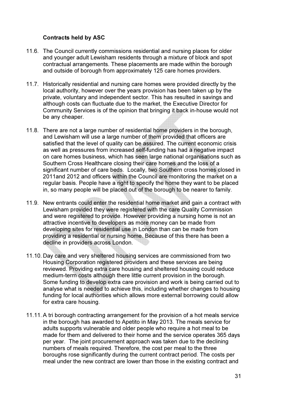#### Contracts held by ASC

- 11.6. The Council currently commissions residential and nursing places for older and younger adult Lewisham residents through a mixture of block and spot contractual arrangements. These placements are made within the borough and outside of borough from approximately 125 care homes providers.
- 11.7. Historically residential and nursing care homes were provided directly by the local authority, however over the years provision has been taken up by the private, voluntary and independent sector. This has resulted in savings and although costs can fluctuate due to the market, the Executive Director for Community Services is of the opinion that bringing it back in-house would not be any cheaper.
- 11.8. There are not a large number of residential home providers in the borough, and Lewisham will use a large number of them provided that officers are satisfied that the level of quality can be assured. The current economic crisis as well as pressures from increased self-funding has had a negative impact on care homes business, which has seen large national organisations such as Southern Cross Healthcare closing their care homes and the loss of a significant number of care beds. Locally, two Southern cross homes closed in 2011and 2012 and officers within the Council are monitoring the market on a regular basis. People have a right to specify the home they want to be placed in, so many people will be placed out of the borough to be nearer to family.
- 11.9. New entrants could enter the residential home market and gain a contract with Lewisham provided they were registered with the care Quality Commission and were registered to provide. However providing a nursing home is not an attractive incentive to developers as more money can be made from developing sites for residential use in London than can be made from providing a residential or nursing home. Because of this there has been a decline in providers across London.
- 11.10. Day care and very sheltered housing services are commissioned from two Housing Corporation registered providers and these services are being reviewed. Providing extra care housing and sheltered housing could reduce medium-term costs although there little current provision in the borough. Some funding to develop extra care provision and work is being carried out to analyse what is needed to achieve this, including whether changes to housing funding for local authorities which allows more external borrowing could allow for extra care housing.
- 11.11. A tri borough contracting arrangement for the provision of a hot meals service in the borough has awarded to Apetito in May 2013. The meals service for adults supports vulnerable and older people who require a hot meal to be made for them and delivered to their home and the service operates 365 days per year. The joint procurement approach was taken due to the declining numbers of meals required. Therefore, the cost per meal to the three boroughs rose significantly during the current contract period. The costs per meal under the new contract are lower than those in the existing contract and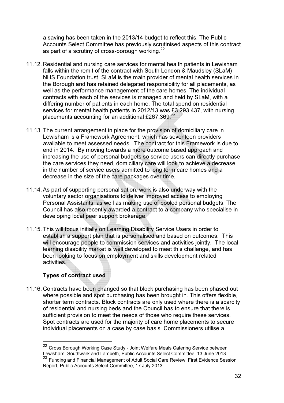a saving has been taken in the 2013/14 budget to reflect this. The Public Accounts Select Committee has previously scrutinised aspects of this contract as part of a scrutiny of cross-borough working. $^{22}$ 

- 11.12. Residential and nursing care services for mental health patients in Lewisham falls within the remit of the contract with South London & Maudsley (SLaM) NHS Foundation trust. SLaM is the main provider of mental health services in the Borough and has retained delegated responsibility for all placements, as well as the performance management of the care homes. The individual contracts with each of the services is managed and held by SLaM, with a differing number of patients in each home. The total spend on residential services for mental health patients in 2012/13 was £3,293,437, with nursing placements accounting for an additional £267,369.<sup>23</sup>
- 11.13. The current arrangement in place for the provision of domiciliary care in Lewisham is a Framework Agreement, which has seventeen providers available to meet assessed needs. The contract for this Framework is due to end in 2014. By moving towards a more outcome based approach and increasing the use of personal budgets so service users can directly purchase the care services they need, domiciliary care will look to achieve a decrease in the number of service users admitted to long term care homes and a decrease in the size of the care packages over time.
- 11.14. As part of supporting personalisation, work is also underway with the voluntary sector organisations to deliver improved access to employing Personal Assistants, as well as making use of pooled personal budgets. The Council has also recently awarded a contract to a company who specialise in developing local peer support brokerage.
- 11.15. This will focus initially on Learning Disability Service Users in order to establish a support plan that is personalised and based on outcomes. This will encourage people to commission services and activities jointly. The local learning disability market is well developed to meet this challenge, and has been looking to focus on employment and skills development related activities.

## Types of contract used

 $\overline{a}$ 

11.16. Contracts have been changed so that block purchasing has been phased out where possible and spot purchasing has been brought in. This offers flexible, shorter term contracts. Block contracts are only used where there is a scarcity of residential and nursing beds and the Council has to ensure that there is sufficient provision to meet the needs of those who require these services. Spot contracts are used for the majority of care home placements to secure individual placements on a case by case basis. Commissioners utilise a

<sup>&</sup>lt;sup>22</sup> Cross Borough Working Case Study - Joint Welfare Meals Catering Service between Lewisham, Southwark and Lambeth, Public Accounts Select Committee, 13 June 2013 23 Funding and Financial Management of Adult Social Care Review: First Evidence Session Report, Public Accounts Select Committee, 17 July 2013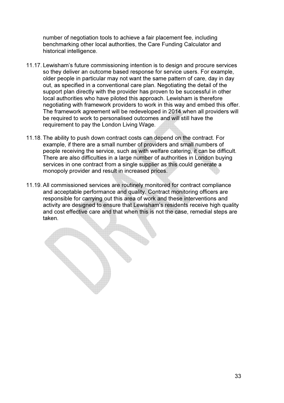number of negotiation tools to achieve a fair placement fee, including benchmarking other local authorities, the Care Funding Calculator and historical intelligence.

- 11.17. Lewisham's future commissioning intention is to design and procure services so they deliver an outcome based response for service users. For example, older people in particular may not want the same pattern of care, day in day out, as specified in a conventional care plan. Negotiating the detail of the support plan directly with the provider has proven to be successful in other local authorities who have piloted this approach. Lewisham is therefore negotiating with framework providers to work in this way and embed this offer. The framework agreement will be redeveloped in 2014 when all providers will be required to work to personalised outcomes and will still have the requirement to pay the London Living Wage.
- 11.18. The ability to push down contract costs can depend on the contract. For example, if there are a small number of providers and small numbers of people receiving the service, such as with welfare catering, it can be difficult. There are also difficulties in a large number of authorities in London buying services in one contract from a single supplier as this could generate a monopoly provider and result in increased prices.
- 11.19. All commissioned services are routinely monitored for contract compliance and acceptable performance and quality. Contract monitoring officers are responsible for carrying out this area of work and these interventions and activity are designed to ensure that Lewisham's residents receive high quality and cost effective care and that when this is not the case, remedial steps are taken.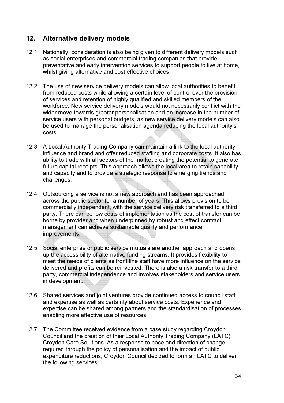## 12. Alternative delivery models

- 12.1. Nationally, consideration is also being given to different delivery models such as social enterprises and commercial trading companies that provide preventative and early intervention services to support people to live at home, whilst giving alternative and cost effective choices.
- 12.2. The use of new service delivery models can allow local authorities to benefit from reduced costs while allowing a certain level of control over the provision of services and retention of highly qualified and skilled members of the workforce. New service delivery models would not necessarily conflict with the wider move towards greater personalisation and an increase in the number of service users with personal budgets, as new service delivery models can also be used to manage the personalisation agenda reducing the local authority's costs.
- 12.3. A Local Authority Trading Company can maintain a link to the local authority influence and brand and offer reduced staffing and corporate costs. It also has ability to trade with all sectors of the market creating the potential to generate future capital receipts. This approach allows the local area to retain capability and capacity and to provide a strategic response to emerging trends and challenges.
- 12.4. Outsourcing a service is not a new approach and has been approached across the public sector for a number of years. This allows provision to be commercially independent, with the service delivery risk transferred to a third party. There can be low costs of implementation as the cost of transfer can be borne by provider and when underpinned by robust and effect contract management can achieve sustainable quality and performance improvements.
- 12.5. Social enterprise or public service mutuals are another approach and opens up the accessibility of alternative funding streams. It provides flexibility to meet the needs of clients as front line staff have more influence on the service delivered and profits can be reinvested. There is also a risk transfer to a third party, commercial independence and involves stakeholders and service users in development.
- 12.6. Shared services and joint ventures provide continued access to council staff and expertise as well as certainty about service costs. Experience and expertise can be shared among partners and the standardisation of processes enabling more effective use of resources.
- 12.7. The Committee received evidence from a case study regarding Croydon Council and the creation of their Local Authority Trading Company (LATC), Croydon Care Solutions. As a response to pace and direction of change required through the policy of personalisation and the impact of public expenditure reductions, Croydon Council decided to form an LATC to deliver the following services: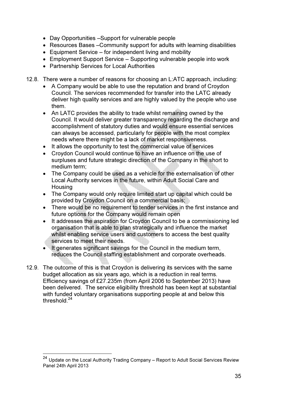- Day Opportunities –Support for vulnerable people
- Resources Bases –Community support for adults with learning disabilities
- Equipment Service for independent living and mobility
- Employment Support Service Supporting vulnerable people into work
- Partnership Services for Local Authorities
- 12.8. There were a number of reasons for choosing an L:ATC approach, including:
	- A Company would be able to use the reputation and brand of Croydon Council. The services recommended for transfer into the LATC already deliver high quality services and are highly valued by the people who use them.
	- An LATC provides the ability to trade whilst remaining owned by the Council. It would deliver greater transparency regarding the discharge and accomplishment of statutory duties and would ensure essential services can always be accessed, particularly for people with the most complex needs where there might be a lack of market responsiveness.
	- It allows the opportunity to test the commercial value of services
	- Croydon Council would continue to have an influence on the use of surpluses and future strategic direction of the Company in the short to medium term;
	- The Company could be used as a vehicle for the externalisation of other Local Authority services in the future, within Adult Social Care and Housing
	- The Company would only require limited start up capital which could be provided by Croydon Council on a commercial basis;
	- There would be no requirement to tender services in the first instance and future options for the Company would remain open
	- It addresses the aspiration for Croydon Council to be a commissioning led organisation that is able to plan strategically and influence the market whilst enabling service users and customers to access the best quality services to meet their needs.
	- It generates significant savings for the Council in the medium term, reduces the Council staffing establishment and corporate overheads.
- 12.9. The outcome of this is that Croydon is delivering its services with the same budget allocation as six years ago, which is a reduction in real terms. Efficiency savings of £27.235m (from April 2006 to September 2013) have been delivered. The service eligibility threshold has been kept at substantial with funded voluntary organisations supporting people at and below this threshold. $^{24}$

 $^{24}$  Update on the Local Authority Trading Company – Report to Adult Social Services Review Panel 24th April 2013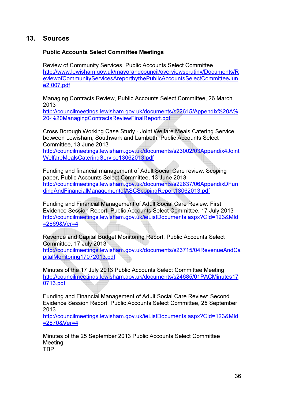## 13. Sources

#### Public Accounts Select Committee Meetings

Review of Community Services, Public Accounts Select Committee http://www.lewisham.gov.uk/mayorandcouncil/overviewscrutiny/Documents/R eviewofCommunityServicesAreportbythePublicAccountsSelectCommitteeJun e2 007.pdf

Managing Contracts Review, Public Accounts Select Committee, 26 March 2013

http://councilmeetings.lewisham.gov.uk/documents/s22615/Appendix%20A% 20-%20ManagingContractsReviewFinalReport.pdf

Cross Borough Working Case Study - Joint Welfare Meals Catering Service between Lewisham, Southwark and Lambeth, Public Accounts Select Committee, 13 June 2013

http://councilmeetings.lewisham.gov.uk/documents/s23002/03Appendix4Joint WelfareMealsCateringService13062013.pdf

Funding and financial management of Adult Social Care review: Scoping paper, Public Accounts Select Committee, 13 June 2013 http://councilmeetings.lewisham.gov.uk/documents/s22837/06AppendixDFun dingAndFinancialManagementofASCScopingReport13062013.pdf

Funding and Financial Management of Adult Social Care Review: First Evidence Session Report, Public Accounts Select Committee, 17 July 2013 http://councilmeetings.lewisham.gov.uk/ieListDocuments.aspx?CId=123&MId =2869&Ver=4

Revenue and Capital Budget Monitoring Report, Public Accounts Select Committee, 17 July 2013

http://councilmeetings.lewisham.gov.uk/documents/s23715/04RevenueAndCa pitalMonitoring17072013.pdf

Minutes of the 17 July 2013 Public Accounts Select Committee Meeting http://councilmeetings.lewisham.gov.uk/documents/s24685/01PACMinutes17 0713.pdf

Funding and Financial Management of Adult Social Care Review: Second Evidence Session Report, Public Accounts Select Committee, 25 September 2013

http://councilmeetings.lewisham.gov.uk/ieListDocuments.aspx?CId=123&MId =2870&Ver=4

Minutes of the 25 September 2013 Public Accounts Select Committee Meeting TBP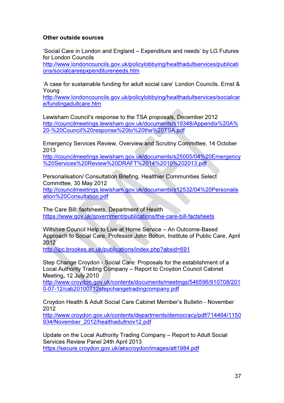#### Other outside sources

'Social Care in London and England – Expenditure and needs' by LG Futures for London Councils

http://www.londoncouncils.gov.uk/policylobbying/healthadultservices/publicati ons/socialcareepxpenditureneeds.htm

'A case for sustainable funding for adult social care' London Councils, Ernst & Young

http://www.londoncouncils.gov.uk/policylobbying/healthadultservices/socialcar e/fundingadultcare.htm

Lewisham Council's response to the TSA proposals, December 2012 http://councilmeetings.lewisham.gov.uk/documents/s19348/Appendix%20A% 20-%20Council%20response%20to%20the%20TSA.pdf

Emergency Services Review, Overview and Scrutiny Committee, 14 October 2013

http://councilmeetings.lewisham.gov.uk/documents/s25005/04%20Emergency %20Services%20Review%20DRAFT%2014%2010%202013.pdf

Personalisation/ Consultation Briefing, Healthier Communities Select Committee, 30 May 2012 http://councilmeetings.lewisham.gov.uk/documents/s12532/04%20Personalis ation%20Consultation.pdf

The Care Bill: factsheets, Department of Health https://www.gov.uk/government/publications/the-care-bill-factsheets

Wiltshire Council Help to Live at Home Service – An Outcome-Based Approach to Social Care, Professor John Bolton, Institute of Public Care, April 2012

http://ipc.brookes.ac.uk/publications/index.php?absid=691

Step Change Croydon - Social Care: Proposals for the establishment of a Local Authority Trading Company – Report to Croydon Council Cabinet Meeting, 12 July 2010

http://www.croydon.gov.uk/contents/documents/meetings/546596/910708/201 0-07-12/cab20100712stepchangetradingcompany.pdf

Croydon Health & Adult Social Care Cabinet Member's Bulletin - November 2012

http://www.croydon.gov.uk/contents/departments/democracy/pdf/714464/1150 934/November\_2012/healthadultnov12.pdf

Update on the Local Authority Trading Company – Report to Adult Social Services Review Panel 24th April 2013 https://secure.croydon.gov.uk/akscroydon/images/att1984.pdf